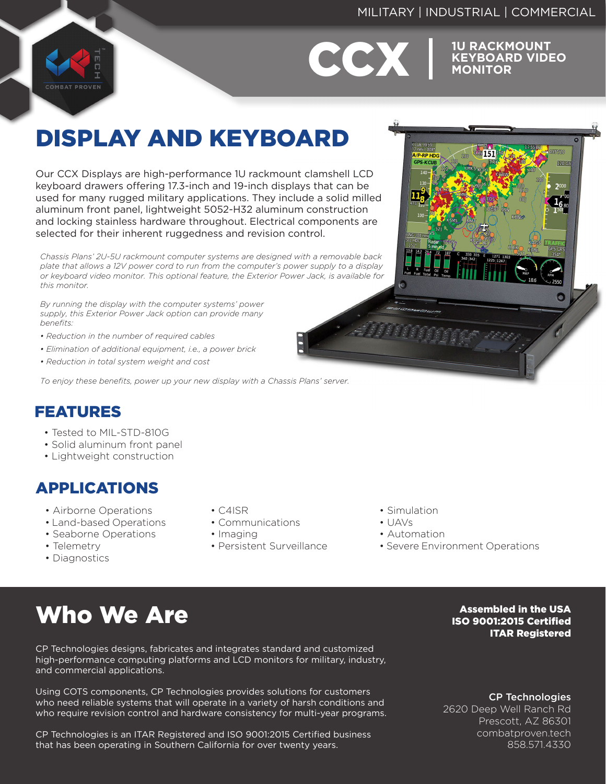### MILITARY | INDUSTRIAL | COMMERCIAL



# **CCX** EYBOARD VIDE

**KEYBOARD VIDEO MONITOR**

## DISPLAY AND KEYBOARD

Our CCX Displays are high-performance 1U rackmount clamshell LCD keyboard drawers offering 17.3-inch and 19-inch displays that can be used for many rugged military applications. They include a solid milled aluminum front panel, lightweight 5052-H32 aluminum construction and locking stainless hardware throughout. Electrical components are selected for their inherent ruggedness and revision control.

*Chassis Plans' 2U-5U rackmount computer systems are designed with a removable back plate that allows a 12V power cord to run from the computer's power supply to a display or keyboard video monitor. This optional feature, the Exterior Power Jack, is available for this monitor.*

*By running the display with the computer systems' power supply, this Exterior Power Jack option can provide many benefits:*

- *Reduction in the number of required cables*
- *Elimination of additional equipment, i.e., a power brick*
- *Reduction in total system weight and cost*

*To enjoy these benefits, power up your new display with a Chassis Plans' server.*

### FEATURES

- Tested to MIL-STD-810G
- Solid aluminum front panel
- Lightweight construction

### APPLICATIONS

- Airborne Operations
- Land-based Operations
- Seaborne Operations
- Telemetry
- Diagnostics
- C4ISR
- Communications
- Imaging
- Persistent Surveillance
- Simulation
- UAVs
- Automation
- Severe Environment Operations

## Who We Are

CP Technologies designs, fabricates and integrates standard and customized high-performance computing platforms and LCD monitors for military, industry, and commercial applications.

Using COTS components, CP Technologies provides solutions for customers who need reliable systems that will operate in a variety of harsh conditions and who require revision control and hardware consistency for multi-year programs.

CP Technologies is an ITAR Registered and ISO 9001:2015 Certified business that has been operating in Southern California for over twenty years.

Assembled in the USA ISO 9001:2015 Certified ITAR Registered

CP Technologies

2620 Deep Well Ranch Rd Prescott, AZ 86301 combatproven.tech 858.571.4330

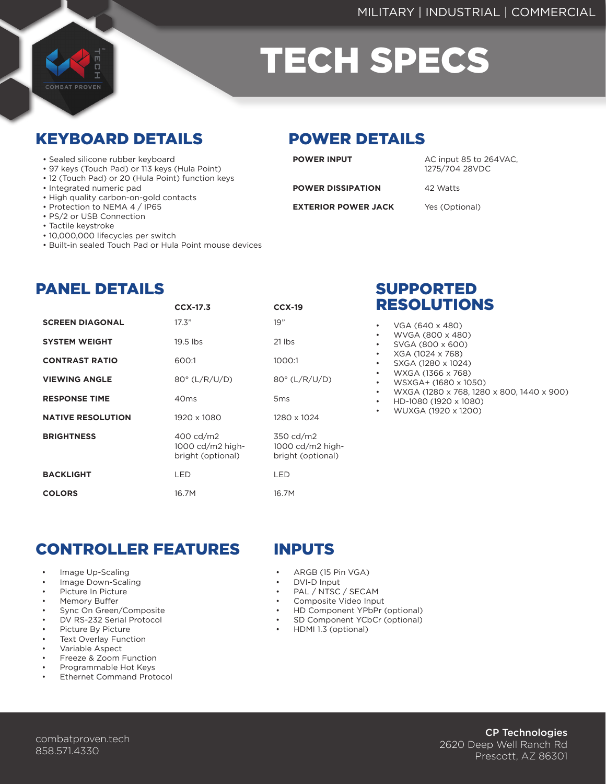

# TECH SPECS

### KEYBOARD DETAILS POWER DETAILS

- Sealed silicone rubber keyboard
- 97 keys (Touch Pad) or 113 keys (Hula Point)
- 12 (Touch Pad) or 20 (Hula Point) function keys
- Integrated numeric pad
- High quality carbon-on-gold contacts
- Protection to NEMA 4 / IP65
- PS/2 or USB Connection
- Tactile keystroke
- 10,000,000 lifecycles per switch
- Built-in sealed Touch Pad or Hula Point mouse devices

**POWER INPUT**

AC input 85 to 264VAC, 1275/704 28VDC

**POWER DISSIPATION**

**EXTERIOR POWER JACK**

Yes (Optional)

42 Watts

PANEL DETAILS

| <b>SCREEN DIAGONAL</b>   | 17.3"                                              | 19"                                                                 |
|--------------------------|----------------------------------------------------|---------------------------------------------------------------------|
| <b>SYSTEM WEIGHT</b>     | 19.5 lbs                                           | $21$ lbs                                                            |
| <b>CONTRAST RATIO</b>    | 600:1                                              | 1000:1                                                              |
| <b>VIEWING ANGLE</b>     | $80^\circ$ (L/R/U/D)                               | 80° (L/R/U/D)                                                       |
| <b>RESPONSE TIME</b>     | 40 <sub>ms</sub>                                   | 5 <sub>ms</sub>                                                     |
| <b>NATIVE RESOLUTION</b> | 1920 x 1080                                        | 1280 x 1024                                                         |
| <b>BRIGHTNESS</b>        | 400 cd/m2<br>1000 cd/m2 high-<br>bright (optional) | 350 cd/m2<br>$1000 \text{ cd}/\text{m2}$ high-<br>bright (optional) |
| <b>BACKLIGHT</b>         | LED                                                | LED                                                                 |

16.7M

**CCX-17.3 CCX-19**

16.7M

### SUPPORTED RESOLUTIONS

- VGA (640 x 480)
- WVGA (800 x 480)
- SVGA (800 x 600)
- XGA (1024 x 768)
- SXGA (1280 x 1024)
- WXGA (1366 x 768)
- WSXGA+ (1680 x 1050)
- WXGA (1280 x 768, 1280 x 800, 1440 x 900)
- HD-1080 (1920 x 1080)
- WUXGA (1920 x 1200)

### CONTROLLER FEATURES INPUTS

Image Up-Scaling

**COLORS**

- Image Down-Scaling
- Picture In Picture
- Memory Buffer
- Sync On Green/Composite
- DV RS-232 Serial Protocol
- Picture By Picture
- Text Overlay Function
- Variable Aspect
- Freeze & Zoom Function
- Programmable Hot Keys • Ethernet Command Protocol
- 

- ARGB (15 Pin VGA)
- DVI-D Input
- PAL / NTSC / SECAM
- Composite Video Input
- HD Component YPbPr (optional)
- SD Component YCbCr (optional)
- HDMI 1.3 (optional)

### CP Technologies 2620 Deep Well Ranch Rd Prescott, AZ 86301